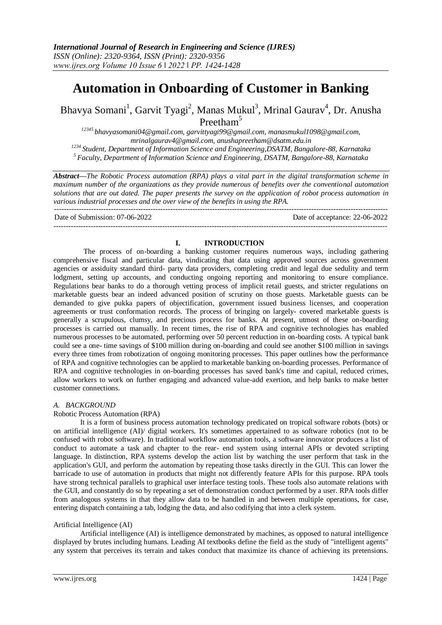# **Automation in Onboarding of Customer in Banking**

Bhavya Somani<sup>1</sup>, Garvit Tyagi<sup>2</sup>, Manas Mukul<sup>3</sup>, Mrinal Gaurav<sup>4</sup>, Dr. Anusha Preetham<sup>5</sup>

 *[bhavyasomani04@gmail.com,](mailto:12345%20bhavyasomani04@gmail.com) [garvittyagi99@gmail.com,](mailto:garvittyagi99@gmail.com) [manasmukul1098@gmail.com,](mailto:manasmukul1098@gmail.com) [mrinalgaurav4@gmail.com,](mailto:mrinalgaurav4@gmail.com) [anushapreetham@dsatm.edu.in](mailto:anushapreetham@dsatm.edu.in) Student, Department of Information Science and Engineering,DSATM, Bangalore-88, Karnataka Faculty, Department of Information Science and Engineering, DSATM, Bangalore-88, Karnataka*

*Abstract—The Robotic Process automation (RPA) plays a vital part in the digital transformation scheme in maximum number of the organizations as they provide numerous of benefits over the conventional automation solutions that are out dated. The paper presents the survey on the application of robot process automation in various industrial processes and the over view of the benefits in using the RPA.* ---------------------------------------------------------------------------------------------------------------------------------------

Date of Submission: 07-06-2022 Date of acceptance: 22-06-2022

# ---------------------------------------------------------------------------------------------------------------------------------------

#### **I. INTRODUCTION**

The process of on-boarding a banking customer requires numerous ways, including gathering comprehensive fiscal and particular data, vindicating that data using approved sources across government agencies or assiduity standard third- party data providers, completing credit and legal due sedulity and term lodgment, setting up accounts, and conducting ongoing reporting and monitoring to ensure compliance. Regulations bear banks to do a thorough vetting process of implicit retail guests, and stricter regulations on marketable guests bear an indeed advanced position of scrutiny on those guests. Marketable guests can be demanded to give pukka papers of objectification, government issued business licenses, and cooperation agreements or trust conformation records. The process of bringing on largely- covered marketable guests is generally a scrupulous, clumsy, and precious process for banks. At present, utmost of these on-boarding processes is carried out manually. In recent times, the rise of RPA and cognitive technologies has enabled numerous processes to be automated, performing over 50 percent reduction in on-boarding costs. A typical bank could see a one- time savings of \$100 million during on-boarding and could see another \$100 million in savings every three times from robotization of ongoing monitoring processes. This paper outlines how the performance of RPA and cognitive technologies can be applied to marketable banking on-boarding processes. Performance of RPA and cognitive technologies in on-boarding processes has saved bank's time and capital, reduced crimes, allow workers to work on further engaging and advanced value-add exertion, and help banks to make better customer connections.

#### *A. BACKGROUND*

#### Robotic Process Automation (RPA)

It is a form of business process automation technology predicated on tropical software robots (bots) or on artificial intelligence (AI)/ digital workers. It's sometimes appertained to as software robotics (not to be confused with robot software). In traditional workflow automation tools, a software innovator produces a list of conduct to automate a task and chapter to the rear- end system using internal APIs or devoted scripting language. In distinction, RPA systems develop the action list by watching the user perform that task in the application's GUI, and perform the automation by repeating those tasks directly in the GUI. This can lower the barricade to use of automation in products that might not differently feature APIs for this purpose. RPA tools have strong technical parallels to graphical user interface testing tools. These tools also automate relations with the GUI, and constantly do so by repeating a set of demonstration conduct performed by a user. RPA tools differ from analogous systems in that they allow data to be handled in and between multiple operations, for case, entering dispatch containing a tab, lodging the data, and also codifying that into a clerk system.

## Artificial Intelligence (AI)

Artificial intelligence (AI) is intelligence demonstrated by machines, as opposed to natural intelligence displayed by brutes including humans. Leading AI textbooks define the field as the study of "intelligent agents" any system that perceives its terrain and takes conduct that maximize its chance of achieving its pretensions.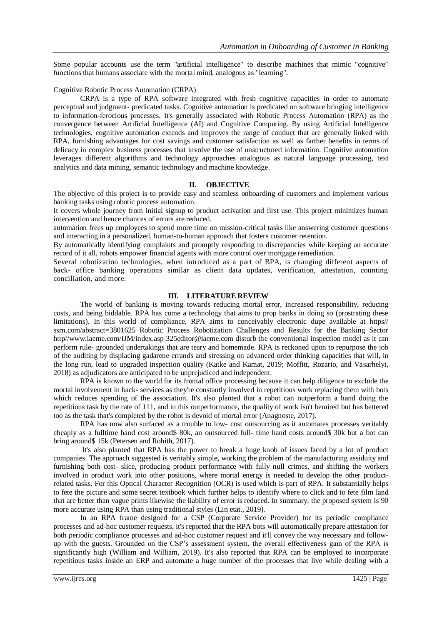Some popular accounts use the term "artificial intelligence" to describe machines that mimic "cognitive" functions that humans associate with the mortal mind, analogous as "learning".

#### Cognitive Robotic Process Automation (CRPA)

CRPA is a type of RPA software integrated with fresh cognitive capacities in order to automate perceptual and judgment- predicated tasks. Cognitive automation is predicated on software bringing intelligence to information-ferocious processes. It's generally associated with Robotic Process Automation (RPA) as the convergence between Artificial Intelligence (AI) and Cognitive Computing. By using Artificial Intelligence technologies, cognitive automation extends and improves the range of conduct that are generally linked with RPA, furnishing advantages for cost savings and customer satisfaction as well as farther benefits in terms of delicacy in complex business processes that involve the use of unstructured information. Cognitive automation leverages different algorithms and technology approaches analogous as natural language processing, text analytics and data mining, semantic technology and machine knowledge.

## **II. OBJECTIVE**

The objective of this project is to provide easy and seamless onboarding of customers and implement various banking tasks using robotic process automation.

It covers whole journey from initial signup to product activation and first use. This project minimizes human intervention and hence chances of errors are reduced.

automation frees up employees to spend more time on mission-critical tasks like answering customer questions and interacting in a personalized, human-to-human approach that fosters customer retention.

By automatically identifying complaints and promptly responding to discrepancies while keeping an accurate record of it all, robots empower financial agents with more control over mortgage remediation.

Several robotization technologies, when introduced as a part of BPA, is changing different aspects of back- office banking operations similar as client data updates, verification, attestation, counting conciliation, and more.

### **III. LITERATURE REVIEW**

The world of banking is moving towards reducing mortal error, increased responsibility, reducing costs, and being biddable. RPA has come a technology that aims to prop banks in doing so (prostrating these limitations). In this world of compliance, RPA aims to conceivably electronic dupe available at https// ssrn.com/abstract=3801625 Robotic Process Robotization Challenges and Results for the Banking Sector http//www.iaeme.com/IJM/index.asp 325editor@iaeme.com disturb the conventional inspection model as it can perform rule- grounded undertakings that are teary and homemade. RPA is reckoned upon to repurpose the job of the auditing by displacing gadarene errands and stressing on advanced order thinking capacities that will, in the long run, lead to upgraded inspection quality (Katke and Kamat, 2019; Moffitt, Rozario, and Vasarhelyi, 2018) as adjudicators are anticipated to be unprejudiced and independent.

RPA is known to the world for its frontal office processing because it can help diligence to exclude the mortal involvement in back- services as they're constantly involved in repetitious work replacing them with bots which reduces spending of the association. It's also planted that a robot can outperform a hand doing the repetitious task by the rate of 111, and in this outperformance, the quality of work isn't bemired but has bettered too as the task that's completed by the robot is devoid of mortal error (Anagnoste, 2017).

RPA has now also surfaced as a trouble to low- cost outsourcing as it automates processes veritably cheaply as a fulltime hand cost around\$ 80k, an outsourced full- time hand costs around\$ 30k but a bot can bring around\$ 15k (Petersen and Rohith, 2017).

It's also planted that RPA has the power to break a huge knob of issues faced by a lot of product companies. The approach suggested is veritably simple, working the problem of the manufacturing assiduity and furnishing both cost- slice, producing product performance with fully null crimes, and shifting the workers involved in product work into other positions, where mortal energy is needed to develop the other productrelated tasks. For this Optical Character Recognition (OCR) is used which is part of RPA. It substantially helps to fete the picture and some secret textbook which further helps to identify where to click and to fete film land that are better than vague prints likewise the liability of error is reduced. In summary, the proposed system is 90 more accurate using RPA than using traditional styles (Lin etat., 2019).

In an RPA frame designed for a CSP (Corporate Service Provider) for its periodic compliance processes and ad-hoc customer requests, it's reported that the RPA bots will automatically prepare attestation for both periodic compliance processes and ad-hoc customer request and it'll convey the way necessary and followup with the guests. Grounded on the CSP's assessment system, the overall effectiveness gain of the RPA is significantly high (William and William, 2019). It's also reported that RPA can be employed to incorporate repetitious tasks inside an ERP and automate a huge number of the processes that live while dealing with a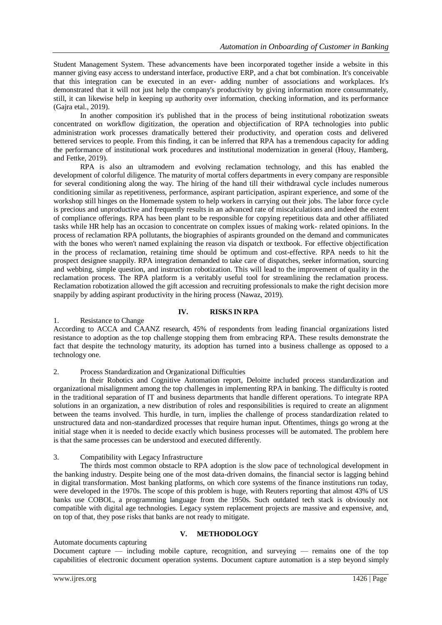Student Management System. These advancements have been incorporated together inside a website in this manner giving easy access to understand interface, productive ERP, and a chat bot combination. It's conceivable that this integration can be executed in an ever- adding number of associations and workplaces. It's demonstrated that it will not just help the company's productivity by giving information more consummately, still, it can likewise help in keeping up authority over information, checking information, and its performance (Gajra etal., 2019).

In another composition it's published that in the process of being institutional robotization sweats concentrated on workflow digitization, the operation and objectification of RPA technologies into public administration work processes dramatically bettered their productivity, and operation costs and delivered bettered services to people. From this finding, it can be inferred that RPA has a tremendous capacity for adding the performance of institutional work procedures and institutional modernization in general (Houy, Hamberg, and Fettke, 2019).

RPA is also an ultramodern and evolving reclamation technology, and this has enabled the development of colorful diligence. The maturity of mortal coffers departments in every company are responsible for several conditioning along the way. The hiring of the hand till their withdrawal cycle includes numerous conditioning similar as repetitiveness, performance, aspirant participation, aspirant experience, and some of the workshop still hinges on the Homemade system to help workers in carrying out their jobs. The labor force cycle is precious and unproductive and frequently results in an advanced rate of miscalculations and indeed the extent of compliance offerings. RPA has been plant to be responsible for copying repetitious data and other affiliated tasks while HR help has an occasion to concentrate on complex issues of making work- related opinions. In the process of reclamation RPA pollutants, the biographies of aspirants grounded on the demand and communicates with the bones who weren't named explaining the reason via dispatch or textbook. For effective objectification in the process of reclamation, retaining time should be optimum and cost-effective. RPA needs to hit the prospect designee snappily. RPA integration demanded to take care of dispatches, seeker information, sourcing and webbing, simple question, and instruction robotization. This will lead to the improvement of quality in the reclamation process. The RPA platform is a veritably useful tool for streamlining the reclamation process. Reclamation robotization allowed the gift accession and recruiting professionals to make the right decision more snappily by adding aspirant productivity in the hiring process (Nawaz, 2019).

# **IV. RISKS IN RPA**

## 1. Resistance to Change

According to ACCA and CAANZ research, 45% of respondents from leading financial organizations listed resistance to adoption as the top challenge stopping them from embracing RPA. These results demonstrate the fact that despite the technology maturity, its adoption has turned into a business challenge as opposed to a technology one.

## 2. Process Standardization and Organizational Difficulties

In their Robotics and Cognitive Automation report, Deloitte included process standardization and organizational misalignment among the top challenges in implementing RPA in banking. The difficulty is rooted in the traditional separation of IT and business departments that handle different operations. To integrate RPA solutions in an organization, a new distribution of roles and responsibilities is required to create an alignment between the teams involved. This hurdle, in turn, implies the challenge of process standardization related to unstructured data and non-standardized processes that require human input. Oftentimes, things go wrong at the initial stage when it is needed to decide exactly which business processes will be automated. The problem here is that the same processes can be understood and executed differently.

## 3. Compatibility with Legacy Infrastructure

The thirds most common obstacle to RPA adoption is the slow pace of technological development in the banking industry. Despite being one of the most data-driven domains, the financial sector is lagging behind in digital transformation. Most banking platforms, on which core systems of the finance institutions run today, were developed in the 1970s. The scope of this problem is huge, with Reuters reporting that almost 43% of US banks use COBOL, a programming language from the 1950s. Such outdated tech stack is obviously not compatible with digital age technologies. Legacy system replacement projects are massive and expensive, and, on top of that, they pose risks that banks are not ready to mitigate.

## **V. METHODOLOGY**

## Automate documents capturing

Document capture — including mobile capture, recognition, and surveying — remains one of the top capabilities of electronic document operation systems. Document capture automation is a step beyond simply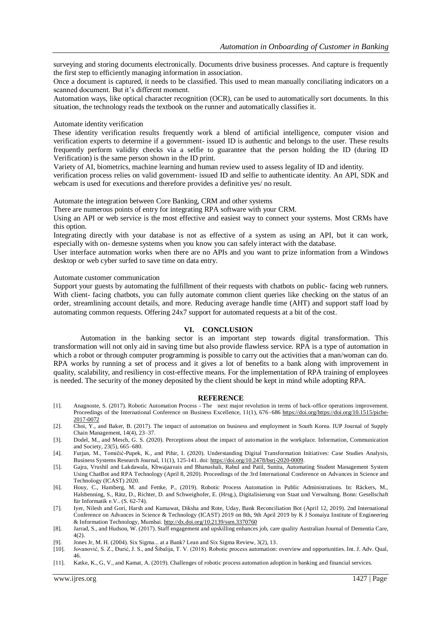surveying and storing documents electronically. Documents drive business processes. And capture is frequently the first step to efficiently managing information in association.

Once a document is captured, it needs to be classified. This used to mean manually conciliating indicators on a scanned document. But it's different moment.

Automation ways, like optical character recognition (OCR), can be used to automatically sort documents. In this situation, the technology reads the textbook on the runner and automatically classifies it.

#### Automate identity verification

These identity verification results frequently work a blend of artificial intelligence, computer vision and verification experts to determine if a government- issued ID is authentic and belongs to the user. These results frequently perform validity checks via a selfie to guarantee that the person holding the ID (during ID Verification) is the same person shown in the ID print.

Variety of AI, biometrics, machine learning and human review used to assess legality of ID and identity.

verification process relies on valid government- issued ID and selfie to authenticate identity. An API, SDK and webcam is used for executions and therefore provides a definitive yes/ no result.

Automate the integration between Core Banking, CRM and other systems

There are numerous points of entry for integrating RPA software with your CRM.

Using an API or web service is the most effective and easiest way to connect your systems. Most CRMs have this option.

Integrating directly with your database is not as effective of a system as using an API, but it can work, especially with on- demesne systems when you know you can safely interact with the database.

User interface automation works when there are no APIs and you want to prize information from a Windows desktop or web cyber surfed to save time on data entry.

#### Automate customer communication

Support your guests by automating the fulfillment of their requests with chatbots on public- facing web runners. With client- facing chatbots, you can fully automate common client queries like checking on the status of an order, streamlining account details, and more. Reducing average handle time (AHT) and support staff load by automating common requests. Offering 24x7 support for automated requests at a bit of the cost.

#### **VI. CONCLUSION**

Automation in the banking sector is an important step towards digital transformation. This transformation will not only aid in saving time but also provide flawless service. RPA is a type of automation in which a robot or through computer programming is possible to carry out the activities that a man/woman can do. RPA works by running a set of process and it gives a lot of benefits to a bank along with improvement in quality, scalability, and resiliency in cost-effective means. For the implementation of RPA training of employees is needed. The security of the money deposited by the client should be kept in mind while adopting RPA.

#### **REFERENCE**

- [1]. Anagnoste, S. (2017). Robotic Automation Process The next major revolution in terms of back-office operations improvement. Proceedings of the International Conference on Business Excellence, 11(1), 676–68[6 https://doi.org/https://doi.org/10.1515/picbe-](https://doi.org/https:/doi.org/10.1515/picbe-2017-0072)[2017-0072](https://doi.org/https:/doi.org/10.1515/picbe-2017-0072)
- [2]. Choi, Y., and Baker, B. (2017). The impact of automation on business and employment in South Korea. IUP Journal of Supply Chain Management, 14(4), 23–37.
- [3]. Dodel, M., and Mesch, G. S. (2020). Perceptions about the impact of automation in the workplace. Information, Communication and Society, 23(5), 665–680.
- [4]. Furjan, M., Tomičić-Pupek, K., and Pihir, I. (2020). Understanding Digital Transformation Initiatives: Case Studies Analysis, Business Systems Research Journal, 11(1), 125-141. doi[: https://doi.org/10.2478/bsrj-2020-0009.](https://doi.org/10.2478/bsrj-2020-0009)
- [5]. Gajra, Vrushil and Lakdawala, Khwajaavais and Bhanushali, Rahul and Patil, Sunita, Automating Student Management System Using ChatBot and RPA Technology (April 8, 2020). Proceedings of the 3rd International Conference on Advances in Science and Technology (ICAST) 2020.
- [6]. Houy, C., Hamberg, M. and Fettke, P., (2019). Robotic Process Automation in Public Administrations. In: Räckers, M., Halsbenning, S., Rätz, D., Richter, D. and Schweighofer, E. (Hrsg.), Digitalisierung von Staat und Verwaltung. Bonn: Gesellschaft für Informatik e.V.. (S. 62-74).
- [7]. Iyer, Nilesh and Gori, Harsh and Kumawat, Diksha and Rote, Uday, Bank Reconciliation Bot (April 12, 2019). 2nd International Conference on Advances in Science & Technology (ICAST) 2019 on 8th, 9th April 2019 by K J Somaiya Institute of Engineering & Information Technology, Mumbai[. http://dx.doi.org/10.2139/ssrn.3370760](http://dx.doi.org/10.2139/ssrn.3370760)
- [8]. Jarrad, S., and Hudson, W. (2017). Staff engagement and upskilling enhances job, care quality Australian Journal of Dementia Care, 4(2).
- [9]. Jones Jr, M. H. (2004). Six Sigma... at a Bank? Lean and Six Sigma Review, 3(2), 13.
- [10]. Jovanović, S. Z., Đurić, J. S., and Šibalija, T. V. (2018). Robotic process automation: overview and opportunities. Int. J. Adv. Qual, 46.
- [11]. Katke, K., G, V., and Kamat, A. (2019). Challenges of robotic process automation adoption in banking and financial services.